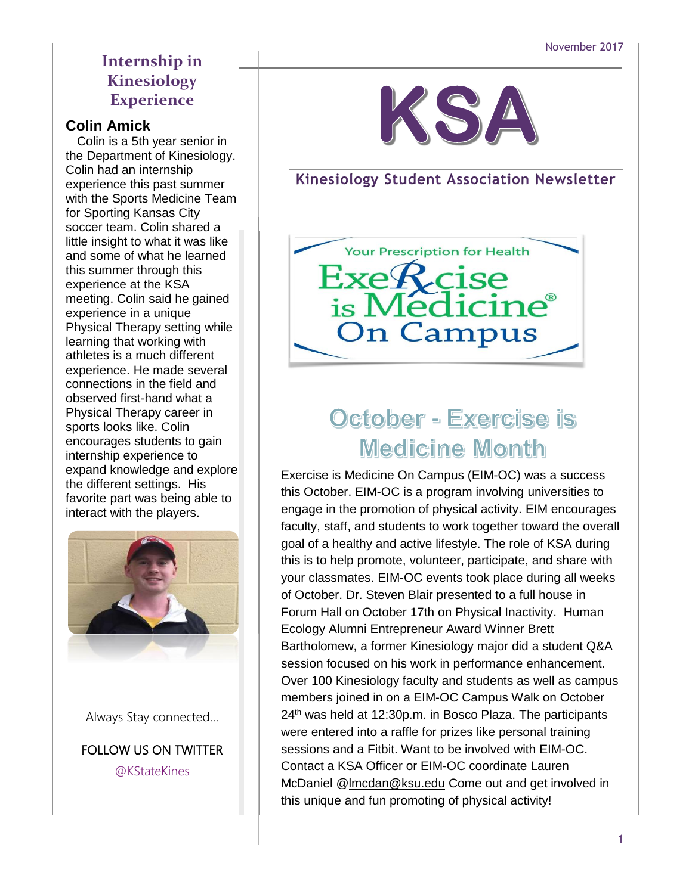### **Internship in Kinesiology Experience**

#### **Colin Amick**

**inue insignt to what it was like**<br>and some of what he learned this summer through this experience at the KSA meeting. Colin said he gained experience in a unique Physical Therapy setting while learning that working with athletes is a much different experience. He made several connections in the field and observed first-hand what a Physical Therapy career in sports looks like. Colin oncounages statents to gain<br>internship experience to michtsing experience to<br>expand knowledge and explore cxpana knowicage and cxpior<br>the different settings. His <del>c</del> unicient settings. The favorite part was being able to Colin is a 5th year senior in the Department of Kinesiology. Colin had an internship experience this past summer with the Sports Medicine Team for Sporting Kansas City soccer team. Colin shared a little insight to what it was like encourages students to gain interact with the players.



Always Stay connected…

FOLLOW US ON TWITTER @KStateKines



### **Kinesiology Student Association Newsletter**



# October - Exercise is **Medicine Month**

Exercise is Medicine On Campus (EIM-OC) was a success this October. EIM-OC is a program involving universities to engage in the promotion of physical activity. EIM encourages faculty, staff, and students to work together toward the overall goal of a healthy and active lifestyle. The role of KSA during this is to help promote, volunteer, participate, and share with your classmates. EIM-OC events took place during all weeks of October. Dr. Steven Blair presented to a full house in Forum Hall on October 17th on Physical Inactivity. Human Ecology Alumni Entrepreneur Award Winner Brett Bartholomew, a former Kinesiology major did a student Q&A session focused on his work in performance enhancement. Over 100 Kinesiology faculty and students as well as campus members joined in on a EIM-OC Campus Walk on October  $24<sup>th</sup>$  was held at 12:30p.m. in Bosco Plaza. The participants were entered into a raffle for prizes like personal training sessions and a Fitbit. Want to be involved with EIM-OC. Contact a KSA Officer or EIM-OC coordinate Lauren McDaniel [@lmcdan@ksu.edu](mailto:lmcdan@ksu.edu) Come out and get involved in this unique and fun promoting of physical activity!